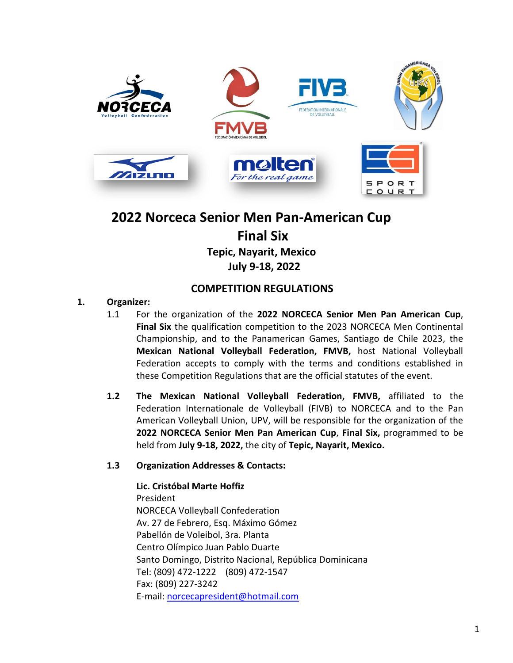

# **2022 Norceca Senior Men Pan-American Cup Final Six Tepic, Nayarit, Mexico July 9-18, 2022**

# **COMPETITION REGULATIONS**

# **1. Organizer:**

- 1.1 For the organization of the **2022 NORCECA Senior Men Pan American Cup**, **Final Six** the qualification competition to the 2023 NORCECA Men Continental Championship, and to the Panamerican Games, Santiago de Chile 2023, the **Mexican National Volleyball Federation, FMVB,** host National Volleyball Federation accepts to comply with the terms and conditions established in these Competition Regulations that are the official statutes of the event.
- **1.2 The Mexican National Volleyball Federation, FMVB,** affiliated to the Federation Internationale de Volleyball (FIVB) to NORCECA and to the Pan American Volleyball Union, UPV, will be responsible for the organization of the **2022 NORCECA Senior Men Pan American Cup**, **Final Six,** programmed to be held from **July 9-18, 2022,** the city of **Tepic, Nayarit, Mexico.**

# **1.3 Organization Addresses & Contacts:**

**Lic. Cristóbal Marte Hoffiz** President NORCECA Volleyball Confederation Av. 27 de Febrero, Esq. Máximo Gómez Pabellón de Voleibol, 3ra. Planta Centro Olímpico Juan Pablo Duarte Santo Domingo, Distrito Nacional, República Dominicana Tel: (809) 472-1222 (809) 472-1547 Fax: (809) 227-3242 E-mail: [norcecapresident@hotmail.com](mailto:norcecapresident@hotmail.com)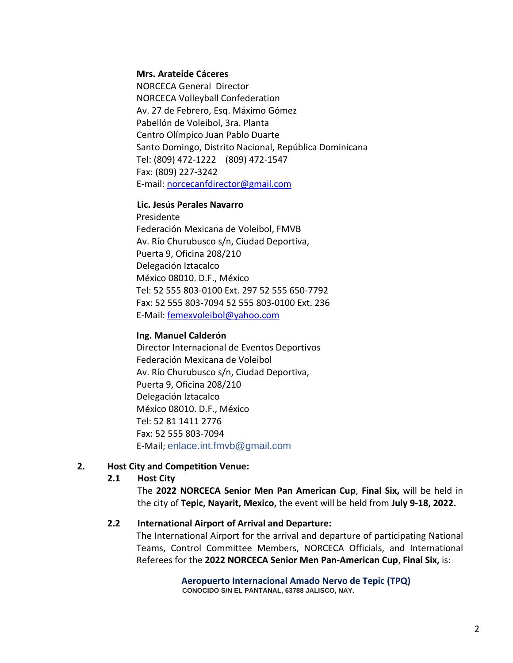#### **Mrs. Arateide Cáceres**

NORCECA General Director NORCECA Volleyball Confederation Av. 27 de Febrero, Esq. Máximo Gómez Pabellón de Voleibol, 3ra. Planta Centro Olímpico Juan Pablo Duarte Santo Domingo, Distrito Nacional, República Dominicana Tel: (809) 472-1222 (809) 472-1547 Fax: (809) 227-3242 E-mail: [norcecanfdirector@gmail.com](mailto:norcecanfdirector@gmail.com)

#### **Lic. Jesús Perales Navarro**

 Presidente Federación Mexicana de Voleibol, FMVB Av. Río Churubusco s/n, Ciudad Deportiva, Puerta 9, Oficina 208/210 Delegación Iztacalco México 08010. D.F., México Tel: 52 555 803-0100 Ext. 297 52 555 650-7792 Fax: 52 555 803-7094 52 555 803-0100 Ext. 236 E-Mail[: femexvoleibol@yahoo.com](mailto:femexvoleibol@yahoo.com)

#### **Ing. Manuel Calderón**

Director Internacional de Eventos Deportivos Federación Mexicana de Voleibol Av. Río Churubusco s/n, Ciudad Deportiva, Puerta 9, Oficina 208/210 Delegación Iztacalco México 08010. D.F., México Tel: 52 81 1411 2776 Fax: 52 555 803-7094 E-Mail; enlace.int.fmvb@gmail.com

#### **2. Host City and Competition Venue:**

#### **2.1 Host City**

The **2022 NORCECA Senior Men Pan American Cup**, **Final Six,** will be held in the city of **Tepic, Nayarit, Mexico,** the event will be held from **July 9-18, 2022.**

#### **2.2 International Airport of Arrival and Departure:**

The International Airport for the arrival and departure of participating National Teams, Control Committee Members, NORCECA Officials, and International Referees for the **2022 NORCECA Senior Men Pan-American Cup**, **Final Six,** is:

> **Aeropuerto Internacional Amado Nervo de Tepic (TPQ) CONOCIDO S/N EL PANTANAL, 63788 JALISCO, NAY.**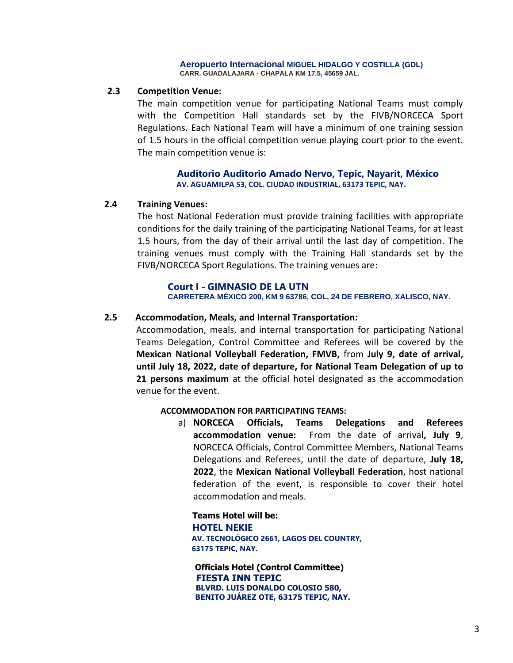#### **Aeropuerto Internacional MIGUEL HIDALGO Y COSTILLA (GDL) CARR. GUADALAJARA - CHAPALA KM 17.5, 45659 JAL.**

#### **2.3 Competition Venue:**

The main competition venue for participating National Teams must comply with the Competition Hall standards set by the FIVB/NORCECA Sport Regulations. Each National Team will have a minimum of one training session of 1.5 hours in the official competition venue playing court prior to the event. The main competition venue is:

#### **Auditorio Auditorio Amado Nervo, Tepic, Nayarit, México AV. AGUAMILPA 53, COL. CIUDAD INDUSTRIAL, 63173 TEPIC, NAY.**

#### **2.4 Training Venues:**

The host National Federation must provide training facilities with appropriate conditions for the daily training of the participating National Teams, for at least 1.5 hours, from the day of their arrival until the last day of competition. The training venues must comply with the Training Hall standards set by the FIVB/NORCECA Sport Regulations. The training venues are:

#### **Court I - GIMNASIO DE LA UTN**

**CARRETERA MÉXICO 200, KM 9 63786, COL, 24 DE FEBRERO, XALISCO, NAY.**

#### **2.5 Accommodation, Meals, and Internal Transportation:**

Accommodation, meals, and internal transportation for participating National Teams Delegation, Control Committee and Referees will be covered by the **Mexican National Volleyball Federation, FMVB,** from **July 9, date of arrival, until July 18, 2022, date of departure, for National Team Delegation of up to 21 persons maximum** at the official hotel designated as the accommodation venue for the event.

#### **ACCOMMODATION FOR PARTICIPATING TEAMS:**

a) **NORCECA Officials, Teams Delegations and Referees accommodation venue:** From the date of arrival**, July 9**, NORCECA Officials, Control Committee Members, National Teams Delegations and Referees, until the date of departure, **July 18, 2022**, the **Mexican National Volleyball Federation**, host national federation of the event, is responsible to cover their hotel accommodation and meals.

 **Teams Hotel will be: HOTEL NEKIE AV. TECNOLÓGICO 2661, LAGOS DEL COUNTRY, 63175 TEPIC, NAY.**

 **Officials Hotel (Control Committee) FIESTA INN TEPIC BLVRD. LUIS DONALDO COLOSIO 580, BENITO JUÁREZ OTE, 63175 TEPIC, NAY.**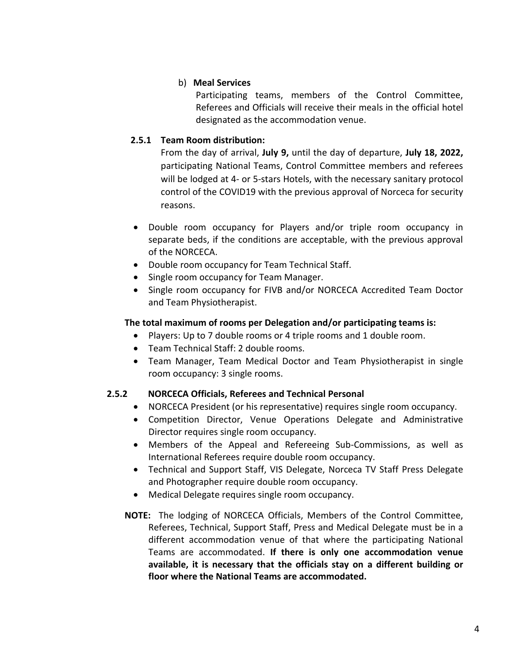### b) **Meal Services**

Participating teams, members of the Control Committee, Referees and Officials will receive their meals in the official hotel designated as the accommodation venue.

# **2.5.1 Team Room distribution:**

From the day of arrival, **July 9,** until the day of departure, **July 18, 2022,** participating National Teams, Control Committee members and referees will be lodged at 4- or 5-stars Hotels, with the necessary sanitary protocol control of the COVID19 with the previous approval of Norceca for security reasons.

- Double room occupancy for Players and/or triple room occupancy in separate beds, if the conditions are acceptable, with the previous approval of the NORCECA.
- Double room occupancy for Team Technical Staff.
- Single room occupancy for Team Manager.
- Single room occupancy for FIVB and/or NORCECA Accredited Team Doctor and Team Physiotherapist.

# **The total maximum of rooms per Delegation and/or participating teams is:**

- Players: Up to 7 double rooms or 4 triple rooms and 1 double room.
- Team Technical Staff: 2 double rooms.
- Team Manager, Team Medical Doctor and Team Physiotherapist in single room occupancy: 3 single rooms.

# **2.5.2 NORCECA Officials, Referees and Technical Personal**

- NORCECA President (or his representative) requires single room occupancy.
- Competition Director, Venue Operations Delegate and Administrative Director requires single room occupancy.
- Members of the Appeal and Refereeing Sub-Commissions, as well as International Referees require double room occupancy.
- Technical and Support Staff, VIS Delegate, Norceca TV Staff Press Delegate and Photographer require double room occupancy.
- Medical Delegate requires single room occupancy.
- **NOTE:** The lodging of NORCECA Officials, Members of the Control Committee, Referees, Technical, Support Staff, Press and Medical Delegate must be in a different accommodation venue of that where the participating National Teams are accommodated. **If there is only one accommodation venue available, it is necessary that the officials stay on a different building or floor where the National Teams are accommodated.**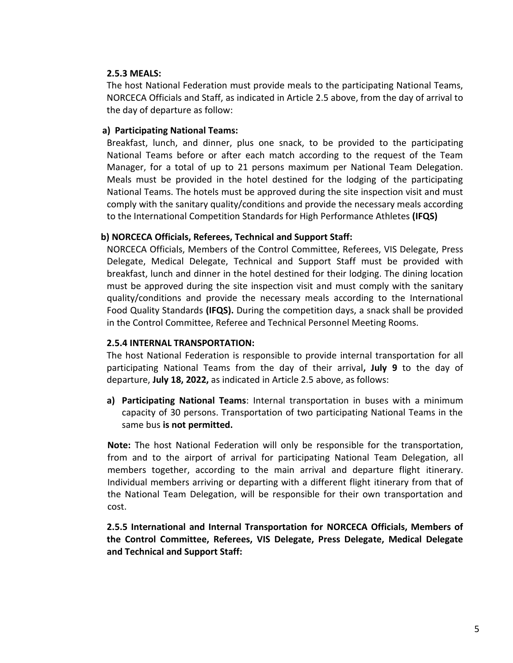### **2.5.3 MEALS:**

The host National Federation must provide meals to the participating National Teams, NORCECA Officials and Staff, as indicated in Article 2.5 above, from the day of arrival to the day of departure as follow:

### **a) Participating National Teams:**

Breakfast, lunch, and dinner, plus one snack, to be provided to the participating National Teams before or after each match according to the request of the Team Manager, for a total of up to 21 persons maximum per National Team Delegation. Meals must be provided in the hotel destined for the lodging of the participating National Teams. The hotels must be approved during the site inspection visit and must comply with the sanitary quality/conditions and provide the necessary meals according to the International Competition Standards for High Performance Athletes **(IFQS)**

### **b) NORCECA Officials, Referees, Technical and Support Staff:**

NORCECA Officials, Members of the Control Committee, Referees, VIS Delegate, Press Delegate, Medical Delegate, Technical and Support Staff must be provided with breakfast, lunch and dinner in the hotel destined for their lodging. The dining location must be approved during the site inspection visit and must comply with the sanitary quality/conditions and provide the necessary meals according to the International Food Quality Standards **(IFQS).** During the competition days, a snack shall be provided in the Control Committee, Referee and Technical Personnel Meeting Rooms.

#### **2.5.4 INTERNAL TRANSPORTATION:**

The host National Federation is responsible to provide internal transportation for all participating National Teams from the day of their arrival**, July 9** to the day of departure, **July 18, 2022,** as indicated in Article 2.5 above, as follows:

**a) Participating National Teams**: Internal transportation in buses with a minimum capacity of 30 persons. Transportation of two participating National Teams in the same bus **is not permitted.**

**Note:** The host National Federation will only be responsible for the transportation, from and to the airport of arrival for participating National Team Delegation, all members together, according to the main arrival and departure flight itinerary. Individual members arriving or departing with a different flight itinerary from that of the National Team Delegation, will be responsible for their own transportation and cost.

**2.5.5 International and Internal Transportation for NORCECA Officials, Members of the Control Committee, Referees, VIS Delegate, Press Delegate, Medical Delegate and Technical and Support Staff:**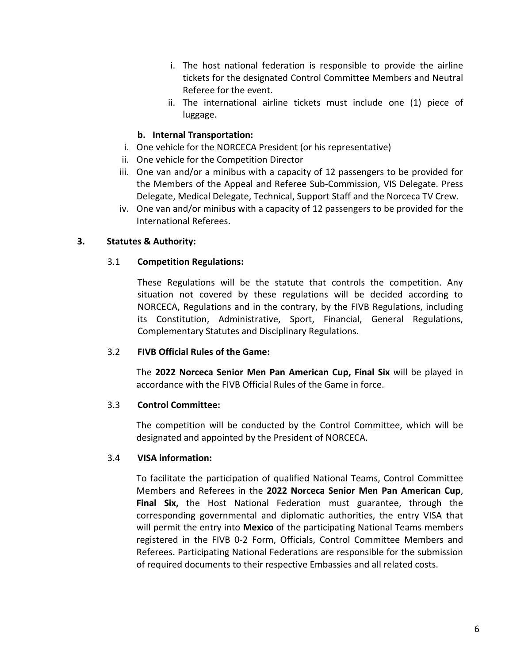- i. The host national federation is responsible to provide the airline tickets for the designated Control Committee Members and Neutral Referee for the event.
- ii. The international airline tickets must include one (1) piece of luggage.

# **b. Internal Transportation:**

- i. One vehicle for the NORCECA President (or his representative)
- ii. One vehicle for the Competition Director
- iii. One van and/or a minibus with a capacity of 12 passengers to be provided for the Members of the Appeal and Referee Sub-Commission, VIS Delegate. Press Delegate, Medical Delegate, Technical, Support Staff and the Norceca TV Crew.
- iv. One van and/or minibus with a capacity of 12 passengers to be provided for the International Referees.

# **3. Statutes & Authority:**

# 3.1 **Competition Regulations:**

These Regulations will be the statute that controls the competition. Any situation not covered by these regulations will be decided according to NORCECA, Regulations and in the contrary, by the FIVB Regulations, including its Constitution, Administrative, Sport, Financial, General Regulations, Complementary Statutes and Disciplinary Regulations.

# 3.2 **FIVB Official Rules of the Game:**

The **2022 Norceca Senior Men Pan American Cup, Final Six** will be played in accordance with the FIVB Official Rules of the Game in force.

# 3.3 **Control Committee:**

The competition will be conducted by the Control Committee, which will be designated and appointed by the President of NORCECA.

# 3.4 **VISA information:**

To facilitate the participation of qualified National Teams, Control Committee Members and Referees in the **2022 Norceca Senior Men Pan American Cup**, **Final Six,** the Host National Federation must guarantee, through the corresponding governmental and diplomatic authorities, the entry VISA that will permit the entry into **Mexico** of the participating National Teams members registered in the FIVB 0-2 Form, Officials, Control Committee Members and Referees. Participating National Federations are responsible for the submission of required documents to their respective Embassies and all related costs.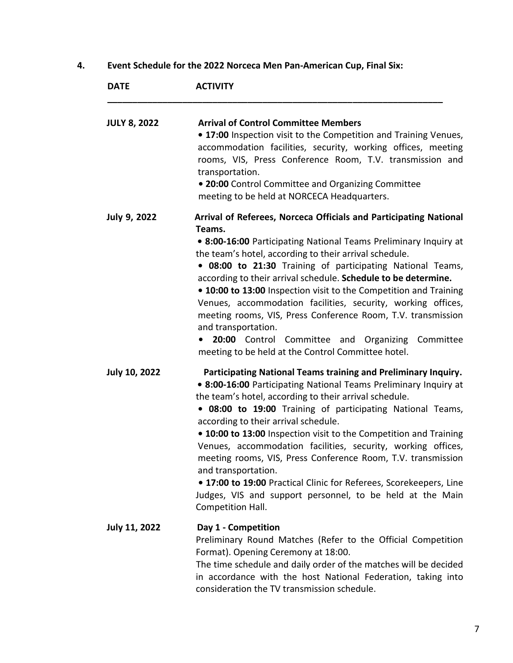**4. Event Schedule for the 2022 Norceca Men Pan-American Cup, Final Six:**

| <b>DATE</b>          | <b>ACTIVITY</b>                                                                                                                                                                                                                                                                                                                                                                                                                                                                                                                                                                                                                                                                        |
|----------------------|----------------------------------------------------------------------------------------------------------------------------------------------------------------------------------------------------------------------------------------------------------------------------------------------------------------------------------------------------------------------------------------------------------------------------------------------------------------------------------------------------------------------------------------------------------------------------------------------------------------------------------------------------------------------------------------|
| <b>JULY 8, 2022</b>  | <b>Arrival of Control Committee Members</b><br>• 17:00 Inspection visit to the Competition and Training Venues,<br>accommodation facilities, security, working offices, meeting<br>rooms, VIS, Press Conference Room, T.V. transmission and<br>transportation.<br>• 20:00 Control Committee and Organizing Committee<br>meeting to be held at NORCECA Headquarters.                                                                                                                                                                                                                                                                                                                    |
| July 9, 2022         | Arrival of Referees, Norceca Officials and Participating National<br>Teams.<br>• 8:00-16:00 Participating National Teams Preliminary Inquiry at<br>the team's hotel, according to their arrival schedule.<br>. 08:00 to 21:30 Training of participating National Teams,<br>according to their arrival schedule. Schedule to be determine.<br>• 10:00 to 13:00 Inspection visit to the Competition and Training<br>Venues, accommodation facilities, security, working offices,<br>meeting rooms, VIS, Press Conference Room, T.V. transmission<br>and transportation.<br>20:00 Control Committee and Organizing Committee<br>meeting to be held at the Control Committee hotel.        |
| <b>July 10, 2022</b> | Participating National Teams training and Preliminary Inquiry.<br>. 8:00-16:00 Participating National Teams Preliminary Inquiry at<br>the team's hotel, according to their arrival schedule.<br>. 08:00 to 19:00 Training of participating National Teams,<br>according to their arrival schedule.<br>• 10:00 to 13:00 Inspection visit to the Competition and Training<br>Venues, accommodation facilities, security, working offices,<br>meeting rooms, VIS, Press Conference Room, T.V. transmission<br>and transportation.<br>• 17:00 to 19:00 Practical Clinic for Referees, Scorekeepers, Line<br>Judges, VIS and support personnel, to be held at the Main<br>Competition Hall. |
| <b>July 11, 2022</b> | Day 1 - Competition<br>Preliminary Round Matches (Refer to the Official Competition<br>Format). Opening Ceremony at 18:00.<br>The time schedule and daily order of the matches will be decided<br>in accordance with the host National Federation, taking into<br>consideration the TV transmission schedule.                                                                                                                                                                                                                                                                                                                                                                          |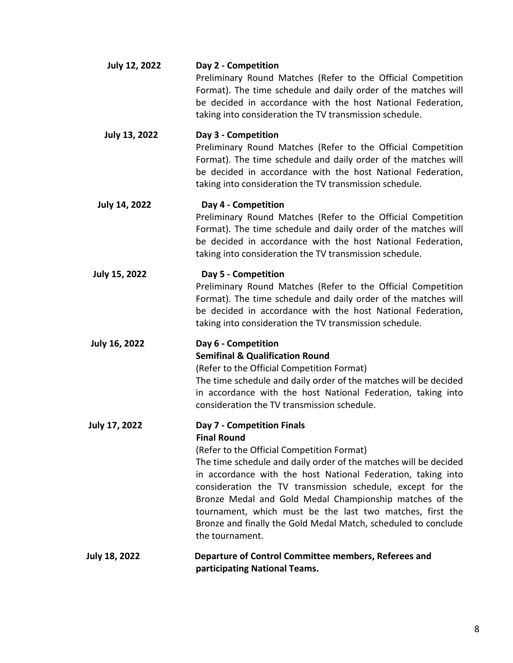| <b>July 12, 2022</b> | Day 2 - Competition<br>Preliminary Round Matches (Refer to the Official Competition<br>Format). The time schedule and daily order of the matches will<br>be decided in accordance with the host National Federation,<br>taking into consideration the TV transmission schedule.                                                                                                                                                                                                                               |
|----------------------|---------------------------------------------------------------------------------------------------------------------------------------------------------------------------------------------------------------------------------------------------------------------------------------------------------------------------------------------------------------------------------------------------------------------------------------------------------------------------------------------------------------|
| <b>July 13, 2022</b> | Day 3 - Competition<br>Preliminary Round Matches (Refer to the Official Competition<br>Format). The time schedule and daily order of the matches will<br>be decided in accordance with the host National Federation,<br>taking into consideration the TV transmission schedule.                                                                                                                                                                                                                               |
| <b>July 14, 2022</b> | Day 4 - Competition<br>Preliminary Round Matches (Refer to the Official Competition<br>Format). The time schedule and daily order of the matches will<br>be decided in accordance with the host National Federation,<br>taking into consideration the TV transmission schedule.                                                                                                                                                                                                                               |
| <b>July 15, 2022</b> | Day 5 - Competition<br>Preliminary Round Matches (Refer to the Official Competition<br>Format). The time schedule and daily order of the matches will<br>be decided in accordance with the host National Federation,<br>taking into consideration the TV transmission schedule.                                                                                                                                                                                                                               |
| <b>July 16, 2022</b> | Day 6 - Competition<br><b>Semifinal &amp; Qualification Round</b><br>(Refer to the Official Competition Format)<br>The time schedule and daily order of the matches will be decided<br>in accordance with the host National Federation, taking into<br>consideration the TV transmission schedule.                                                                                                                                                                                                            |
| <b>July 17, 2022</b> | Day 7 - Competition Finals<br><b>Final Round</b><br>(Refer to the Official Competition Format)<br>The time schedule and daily order of the matches will be decided<br>in accordance with the host National Federation, taking into<br>consideration the TV transmission schedule, except for the<br>Bronze Medal and Gold Medal Championship matches of the<br>tournament, which must be the last two matches, first the<br>Bronze and finally the Gold Medal Match, scheduled to conclude<br>the tournament. |
| <b>July 18, 2022</b> | Departure of Control Committee members, Referees and<br>participating National Teams.                                                                                                                                                                                                                                                                                                                                                                                                                         |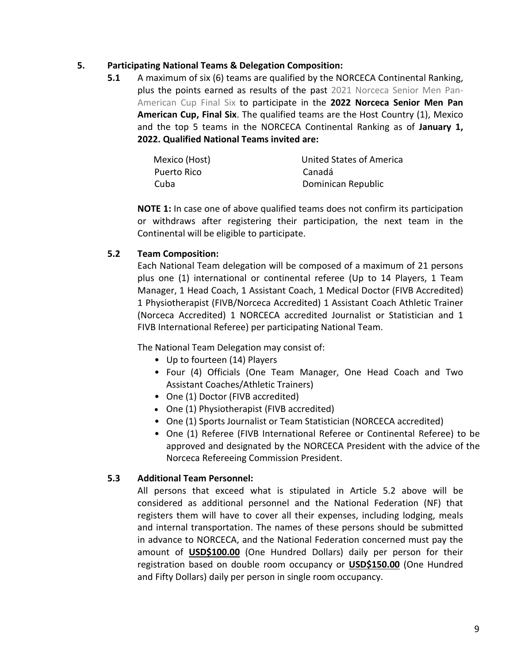### **5. Participating National Teams & Delegation Composition:**

**5.1** A maximum of six (6) teams are qualified by the NORCECA Continental Ranking, plus the points earned as results of the past 2021 Norceca Senior Men Pan-American Cup Final Six to participate in the **2022 Norceca Senior Men Pan American Cup, Final Six**. The qualified teams are the Host Country (1), Mexico and the top 5 teams in the NORCECA Continental Ranking as of **January 1, 2022. Qualified National Teams invited are:**

| Mexico (Host) | United States of America |
|---------------|--------------------------|
| Puerto Rico   | Canadá                   |
| Cuba          | Dominican Republic       |

**NOTE 1:** In case one of above qualified teams does not confirm its participation or withdraws after registering their participation, the next team in the Continental will be eligible to participate.

# **5.2 Team Composition:**

Each National Team delegation will be composed of a maximum of 21 persons plus one (1) international or continental referee (Up to 14 Players, 1 Team Manager, 1 Head Coach, 1 Assistant Coach, 1 Medical Doctor (FIVB Accredited) 1 Physiotherapist (FIVB/Norceca Accredited) 1 Assistant Coach Athletic Trainer (Norceca Accredited) 1 NORCECA accredited Journalist or Statistician and 1 FIVB International Referee) per participating National Team.

The National Team Delegation may consist of:

- Up to fourteen (14) Players
- Four (4) Officials (One Team Manager, One Head Coach and Two Assistant Coaches/Athletic Trainers)
- One (1) Doctor (FIVB accredited)
- One (1) Physiotherapist (FIVB accredited)
- One (1) Sports Journalist or Team Statistician (NORCECA accredited)
- One (1) Referee (FIVB International Referee or Continental Referee) to be approved and designated by the NORCECA President with the advice of the Norceca Refereeing Commission President.

# **5.3 Additional Team Personnel:**

All persons that exceed what is stipulated in Article 5.2 above will be considered as additional personnel and the National Federation (NF) that registers them will have to cover all their expenses, including lodging, meals and internal transportation. The names of these persons should be submitted in advance to NORCECA, and the National Federation concerned must pay the amount of **USD\$100.00** (One Hundred Dollars) daily per person for their registration based on double room occupancy or **USD\$150.00** (One Hundred and Fifty Dollars) daily per person in single room occupancy.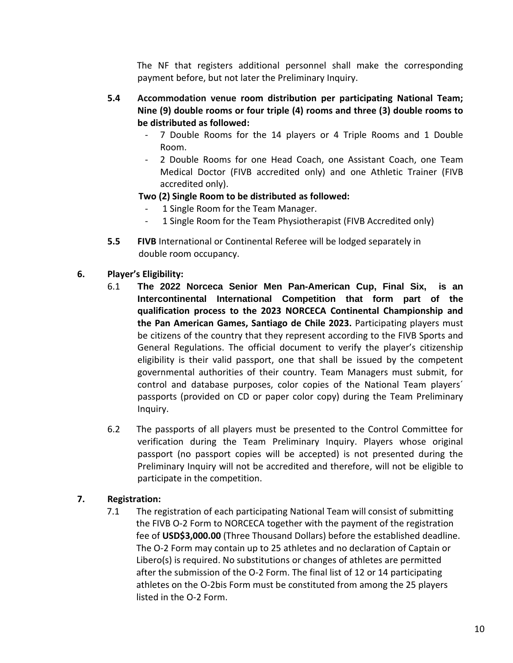The NF that registers additional personnel shall make the corresponding payment before, but not later the Preliminary Inquiry.

- **5.4 Accommodation venue room distribution per participating National Team; Nine (9) double rooms or four triple (4) rooms and three (3) double rooms to be distributed as followed:** 
	- 7 Double Rooms for the 14 players or 4 Triple Rooms and 1 Double Room.
	- 2 Double Rooms for one Head Coach, one Assistant Coach, one Team Medical Doctor (FIVB accredited only) and one Athletic Trainer (FIVB accredited only).

# **Two (2) Single Room to be distributed as followed:**

- 1 Single Room for the Team Manager.
- 1 Single Room for the Team Physiotherapist (FIVB Accredited only)
- **5.5 FIVB** International or Continental Referee will be lodged separately in double room occupancy.
- **6. Player's Eligibility:**
	- 6.1 **The 2022 Norceca Senior Men Pan-American Cup, Final Six, is an Intercontinental International Competition that form part of the qualification process to the 2023 NORCECA Continental Championship and the Pan American Games, Santiago de Chile 2023.** Participating players must be citizens of the country that they represent according to the FIVB Sports and General Regulations. The official document to verify the player's citizenship eligibility is their valid passport, one that shall be issued by the competent governmental authorities of their country. Team Managers must submit, for control and database purposes, color copies of the National Team players´ passports (provided on CD or paper color copy) during the Team Preliminary Inquiry.
	- 6.2 The passports of all players must be presented to the Control Committee for verification during the Team Preliminary Inquiry. Players whose original passport (no passport copies will be accepted) is not presented during the Preliminary Inquiry will not be accredited and therefore, will not be eligible to participate in the competition.

# **7. Registration:**

 7.1 The registration of each participating National Team will consist of submitting the FIVB O-2 Form to NORCECA together with the payment of the registration fee of **USD\$3,000.00** (Three Thousand Dollars) before the established deadline. The O-2 Form may contain up to 25 athletes and no declaration of Captain or Libero(s) is required. No substitutions or changes of athletes are permitted after the submission of the O-2 Form. The final list of 12 or 14 participating athletes on the O-2bis Form must be constituted from among the 25 players listed in the O-2 Form.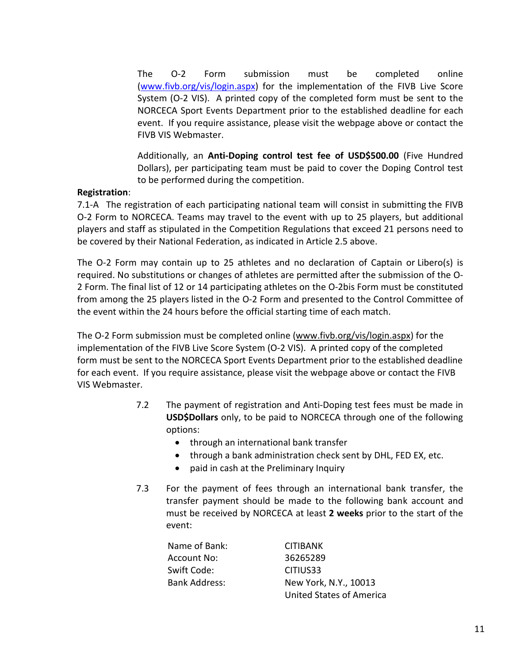The O-2 Form submission must be completed online [\(www.fivb.org/vis/login.aspx\)](http://www.fivb.org/vis/login.aspx) for the implementation of the FIVB Live Score System (O-2 VIS). A printed copy of the completed form must be sent to the NORCECA Sport Events Department prior to the established deadline for each event. If you require assistance, please visit the webpage above or contact the FIVB VIS Webmaster.

Additionally, an **Anti-Doping control test fee of USD\$500.00** (Five Hundred Dollars), per participating team must be paid to cover the Doping Control test to be performed during the competition.

### **Registration**:

7.1-A The registration of each participating national team will consist in submitting the FIVB O-2 Form to NORCECA. Teams may travel to the event with up to 25 players, but additional players and staff as stipulated in the Competition Regulations that exceed 21 persons need to be covered by their National Federation, as indicated in Article 2.5 above.

The O-2 Form may contain up to 25 athletes and no declaration of Captain or Libero(s) is required. No substitutions or changes of athletes are permitted after the submission of the O-2 Form. The final list of 12 or 14 participating athletes on the O-2bis Form must be constituted from among the 25 players listed in the O-2 Form and presented to the Control Committee of the event within the 24 hours before the official starting time of each match.

The O-2 Form submission must be completed online [\(www.fivb.org/vis/login.aspx\)](http://www.fivb.org/vis/login.aspx) for the implementation of the FIVB Live Score System (O-2 VIS). A printed copy of the completed form must be sent to the NORCECA Sport Events Department prior to the established deadline for each event. If you require assistance, please visit the webpage above or contact the FIVB VIS Webmaster.

- 7.2 The payment of registration and Anti-Doping test fees must be made in **USD\$Dollars** only, to be paid to NORCECA through one of the following options:
	- through an international bank transfer
	- through a bank administration check sent by DHL, FED EX, etc.
	- paid in cash at the Preliminary Inquiry
- 7.3 For the payment of fees through an international bank transfer, the transfer payment should be made to the following bank account and must be received by NORCECA at least **2 weeks** prior to the start of the event:

| Name of Bank:        | <b>CITIBANK</b>                 |
|----------------------|---------------------------------|
| Account No:          | 36265289                        |
| Swift Code:          | CITIUS33                        |
| <b>Bank Address:</b> | New York, N.Y., 10013           |
|                      | <b>United States of America</b> |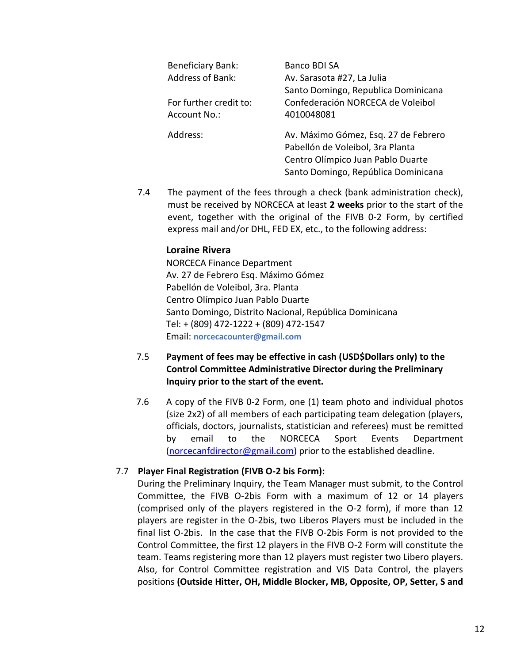| <b>Beneficiary Bank:</b> | Banco BDI SA                         |
|--------------------------|--------------------------------------|
| <b>Address of Bank:</b>  | Av. Sarasota #27, La Julia           |
|                          | Santo Domingo, Republica Dominicana  |
| For further credit to:   | Confederación NORCECA de Voleibol    |
| Account No.:             | 4010048081                           |
| Address:                 | Av. Máximo Gómez, Esq. 27 de Febrero |
|                          | Pabellón de Voleibol, 3ra Planta     |
|                          | Centro Olímpico Juan Pablo Duarte    |
|                          | Santo Domingo, República Dominicana  |

7.4 The payment of the fees through a check (bank administration check), must be received by NORCECA at least **2 weeks** prior to the start of the event, together with the original of the FIVB 0-2 Form, by certified express mail and/or DHL, FED EX, etc., to the following address:

### **Loraine Rivera**

NORCECA Finance Department Av. 27 de Febrero Esq. Máximo Gómez Pabellón de Voleibol, 3ra. Planta Centro Olímpico Juan Pablo Duarte Santo Domingo, Distrito Nacional, República Dominicana Tel: + (809) 472-1222 + (809) 472-1547 Email: **norcecacounter@gmail.com**

# 7.5 **Payment of fees may be effective in cash (USD\$Dollars only) to the Control Committee Administrative Director during the Preliminary Inquiry prior to the start of the event.**

7.6 A copy of the FIVB 0-2 Form, one (1) team photo and individual photos (size 2x2) of all members of each participating team delegation (players, officials, doctors, journalists, statistician and referees) must be remitted by email to the NORCECA Sport Events Department [\(norcecanfdirector@gmail.com\)](mailto:norcecanfdirector@gmail.com) prior to the established deadline.

# 7.7 **Player Final Registration (FIVB O-2 bis Form):**

During the Preliminary Inquiry, the Team Manager must submit, to the Control Committee, the FIVB O-2bis Form with a maximum of 12 or 14 players (comprised only of the players registered in the O-2 form), if more than 12 players are register in the O-2bis, two Liberos Players must be included in the final list O-2bis. In the case that the FIVB O-2bis Form is not provided to the Control Committee, the first 12 players in the FIVB O-2 Form will constitute the team. Teams registering more than 12 players must register two Libero players. Also, for Control Committee registration and VIS Data Control, the players positions **(Outside Hitter, OH, Middle Blocker, MB, Opposite, OP, Setter, S and**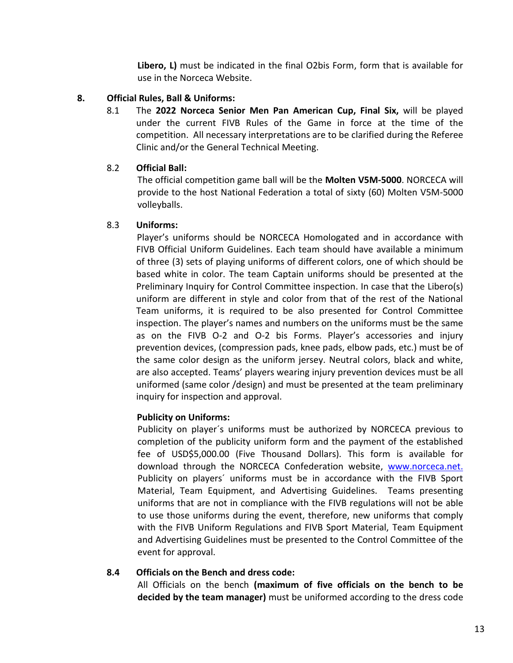**Libero, L)** must be indicated in the final O2bis Form, form that is available for use in the Norceca Website.

# **8. Official Rules, Ball & Uniforms:**

8.1 The **2022 Norceca Senior Men Pan American Cup, Final Six,** will be played under the current FIVB Rules of the Game in force at the time of the competition. All necessary interpretations are to be clarified during the Referee Clinic and/or the General Technical Meeting.

# 8.2 **Official Ball:**

The official competition game ball will be the **Molten V5M-5000**. NORCECA will provide to the host National Federation a total of sixty (60) Molten V5M-5000 volleyballs.

# 8.3 **Uniforms:**

Player's uniforms should be NORCECA Homologated and in accordance with FIVB Official Uniform Guidelines. Each team should have available a minimum of three (3) sets of playing uniforms of different colors, one of which should be based white in color. The team Captain uniforms should be presented at the Preliminary Inquiry for Control Committee inspection. In case that the Libero(s) uniform are different in style and color from that of the rest of the National Team uniforms, it is required to be also presented for Control Committee inspection. The player's names and numbers on the uniforms must be the same as on the FIVB O-2 and O-2 bis Forms. Player's accessories and injury prevention devices, (compression pads, knee pads, elbow pads, etc.) must be of the same color design as the uniform jersey. Neutral colors, black and white, are also accepted. Teams' players wearing injury prevention devices must be all uniformed (same color /design) and must be presented at the team preliminary inquiry for inspection and approval.

# **Publicity on Uniforms:**

Publicity on player´s uniforms must be authorized by NORCECA previous to completion of the publicity uniform form and the payment of the established fee of USD\$5,000.00 (Five Thousand Dollars). This form is available for download through the NORCECA Confederation website, [www.norceca.net.](http://www.norceca.net./) Publicity on players' uniforms must be in accordance with the FIVB Sport Material, Team Equipment, and Advertising Guidelines. Teams presenting uniforms that are not in compliance with the FIVB regulations will not be able to use those uniforms during the event, therefore, new uniforms that comply with the FIVB Uniform Regulations and FIVB Sport Material, Team Equipment and Advertising Guidelines must be presented to the Control Committee of the event for approval.

# **8.4 Officials on the Bench and dress code:**

All Officials on the bench **(maximum of five officials on the bench to be decided by the team manager)** must be uniformed according to the dress code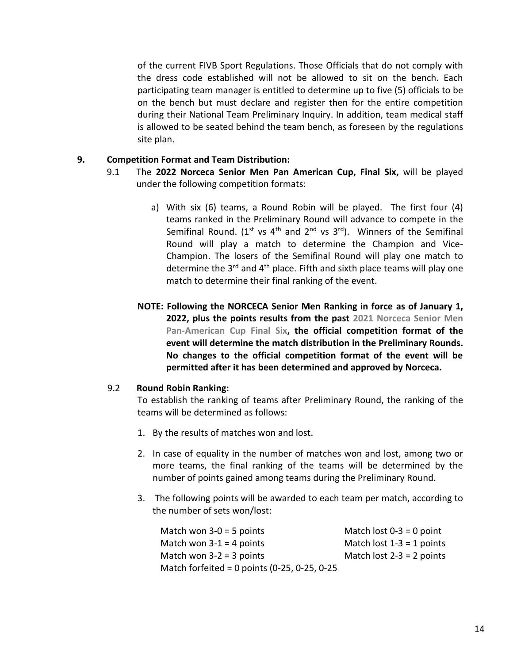of the current FIVB Sport Regulations. Those Officials that do not comply with the dress code established will not be allowed to sit on the bench. Each participating team manager is entitled to determine up to five (5) officials to be on the bench but must declare and register then for the entire competition during their National Team Preliminary Inquiry. In addition, team medical staff is allowed to be seated behind the team bench, as foreseen by the regulations site plan.

#### **9. Competition Format and Team Distribution:**

- 9.1 The **2022 Norceca Senior Men Pan American Cup, Final Six,** will be played under the following competition formats:
	- a) With six (6) teams, a Round Robin will be played. The first four (4) teams ranked in the Preliminary Round will advance to compete in the Semifinal Round. ( $1^{st}$  vs  $4^{th}$  and  $2^{nd}$  vs  $3^{rd}$ ). Winners of the Semifinal Round will play a match to determine the Champion and Vice-Champion. The losers of the Semifinal Round will play one match to determine the  $3<sup>rd</sup>$  and  $4<sup>th</sup>$  place. Fifth and sixth place teams will play one match to determine their final ranking of the event.
	- **NOTE: Following the NORCECA Senior Men Ranking in force as of January 1, 2022, plus the points results from the past 2021 Norceca Senior Men Pan-American Cup Final Six, the official competition format of the event will determine the match distribution in the Preliminary Rounds. No changes to the official competition format of the event will be permitted after it has been determined and approved by Norceca.**

#### 9.2 **Round Robin Ranking:**

To establish the ranking of teams after Preliminary Round, the ranking of the teams will be determined as follows:

- 1. By the results of matches won and lost.
- 2. In case of equality in the number of matches won and lost, among two or more teams, the final ranking of the teams will be determined by the number of points gained among teams during the Preliminary Round.
- 3. The following points will be awarded to each team per match, according to the number of sets won/lost:

| Match won $3-0 = 5$ points                      | Match lost $0-3 = 0$ point  |
|-------------------------------------------------|-----------------------------|
| Match won $3-1 = 4$ points                      | Match lost $1-3 = 1$ points |
| Match won $3-2 = 3$ points                      | Match lost $2-3 = 2$ points |
| Match forfeited = 0 points $(0-25, 0-25, 0-25)$ |                             |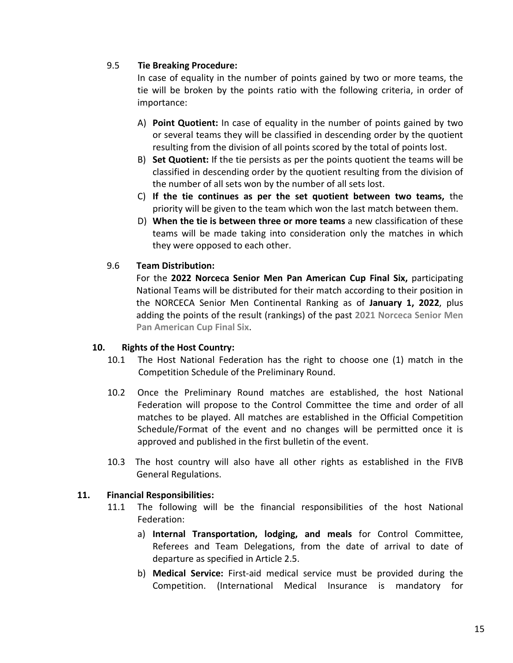### 9.5 **Tie Breaking Procedure:**

In case of equality in the number of points gained by two or more teams, the tie will be broken by the points ratio with the following criteria, in order of importance:

- A) **Point Quotient:** In case of equality in the number of points gained by two or several teams they will be classified in descending order by the quotient resulting from the division of all points scored by the total of points lost.
- B) **Set Quotient:** If the tie persists as per the points quotient the teams will be classified in descending order by the quotient resulting from the division of the number of all sets won by the number of all sets lost.
- C) **If the tie continues as per the set quotient between two teams,** the priority will be given to the team which won the last match between them.
- D) **When the tie is between three or more teams** a new classification of these teams will be made taking into consideration only the matches in which they were opposed to each other.

### 9.6 **Team Distribution:**

For the **2022 Norceca Senior Men Pan American Cup Final Six,** participating National Teams will be distributed for their match according to their position in the NORCECA Senior Men Continental Ranking as of **January 1, 2022**, plus adding the points of the result (rankings) of the past **2021 Norceca Senior Men Pan American Cup Final Six**.

#### **10. Rights of the Host Country:**

- 10.1 The Host National Federation has the right to choose one (1) match in the Competition Schedule of the Preliminary Round.
- 10.2 Once the Preliminary Round matches are established, the host National Federation will propose to the Control Committee the time and order of all matches to be played. All matches are established in the Official Competition Schedule/Format of the event and no changes will be permitted once it is approved and published in the first bulletin of the event.
- 10.3 The host country will also have all other rights as established in the FIVB General Regulations.

# **11. Financial Responsibilities:**

- 11.1 The following will be the financial responsibilities of the host National Federation:
	- a) **Internal Transportation, lodging, and meals** for Control Committee, Referees and Team Delegations, from the date of arrival to date of departure as specified in Article 2.5.
	- b) **Medical Service:** First-aid medical service must be provided during the Competition. (International Medical Insurance is mandatory for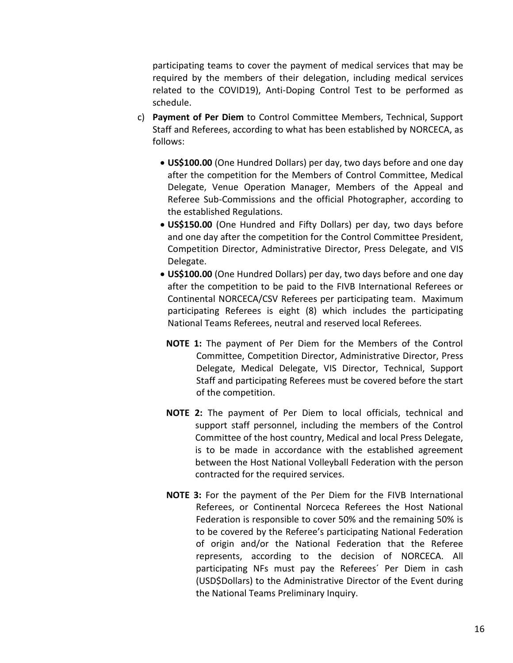participating teams to cover the payment of medical services that may be required by the members of their delegation, including medical services related to the COVID19), Anti-Doping Control Test to be performed as schedule.

- c) **Payment of Per Diem** to Control Committee Members, Technical, Support Staff and Referees, according to what has been established by NORCECA, as follows:
	- **US\$100.00** (One Hundred Dollars) per day, two days before and one day after the competition for the Members of Control Committee, Medical Delegate, Venue Operation Manager, Members of the Appeal and Referee Sub-Commissions and the official Photographer, according to the established Regulations.
	- **US\$150.00** (One Hundred and Fifty Dollars) per day, two days before and one day after the competition for the Control Committee President, Competition Director, Administrative Director, Press Delegate, and VIS Delegate.
	- **US\$100.00** (One Hundred Dollars) per day, two days before and one day after the competition to be paid to the FIVB International Referees or Continental NORCECA/CSV Referees per participating team. Maximum participating Referees is eight (8) which includes the participating National Teams Referees, neutral and reserved local Referees.
		- **NOTE 1:** The payment of Per Diem for the Members of the Control Committee, Competition Director, Administrative Director, Press Delegate, Medical Delegate, VIS Director, Technical, Support Staff and participating Referees must be covered before the start of the competition.
	- **NOTE 2:** The payment of Per Diem to local officials, technical and support staff personnel, including the members of the Control Committee of the host country, Medical and local Press Delegate, is to be made in accordance with the established agreement between the Host National Volleyball Federation with the person contracted for the required services.
	- **NOTE 3:** For the payment of the Per Diem for the FIVB International Referees, or Continental Norceca Referees the Host National Federation is responsible to cover 50% and the remaining 50% is to be covered by the Referee's participating National Federation of origin and/or the National Federation that the Referee represents, according to the decision of NORCECA. All participating NFs must pay the Referees´ Per Diem in cash (USD\$Dollars) to the Administrative Director of the Event during the National Teams Preliminary Inquiry.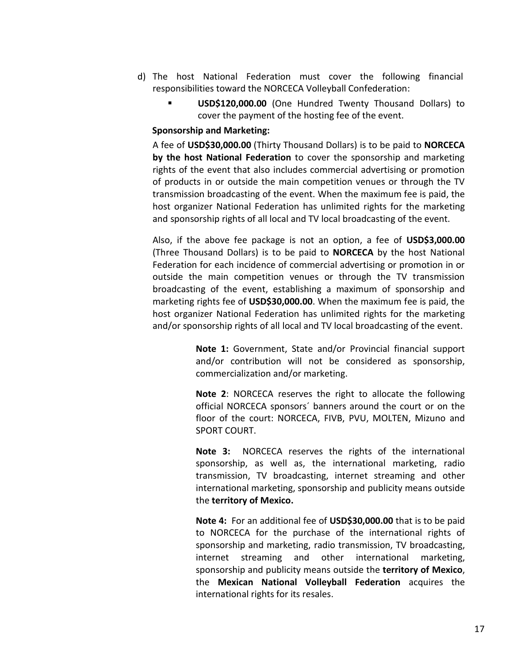- d) The host National Federation must cover the following financial responsibilities toward the NORCECA Volleyball Confederation:
	- **USD\$120,000.00** (One Hundred Twenty Thousand Dollars) to cover the payment of the hosting fee of the event.

#### **Sponsorship and Marketing:**

A fee of **USD\$30,000.00** (Thirty Thousand Dollars) is to be paid to **NORCECA by the host National Federation** to cover the sponsorship and marketing rights of the event that also includes commercial advertising or promotion of products in or outside the main competition venues or through the TV transmission broadcasting of the event. When the maximum fee is paid, the host organizer National Federation has unlimited rights for the marketing and sponsorship rights of all local and TV local broadcasting of the event.

Also, if the above fee package is not an option, a fee of **USD\$3,000.00** (Three Thousand Dollars) is to be paid to **NORCECA** by the host National Federation for each incidence of commercial advertising or promotion in or outside the main competition venues or through the TV transmission broadcasting of the event, establishing a maximum of sponsorship and marketing rights fee of **USD\$30,000.00**. When the maximum fee is paid, the host organizer National Federation has unlimited rights for the marketing and/or sponsorship rights of all local and TV local broadcasting of the event.

> **Note 1:** Government, State and/or Provincial financial support and/or contribution will not be considered as sponsorship, commercialization and/or marketing.

> **Note 2**: NORCECA reserves the right to allocate the following official NORCECA sponsors´ banners around the court or on the floor of the court: NORCECA, FIVB, PVU, MOLTEN, Mizuno and SPORT COURT.

> **Note 3:** NORCECA reserves the rights of the international sponsorship, as well as, the international marketing, radio transmission, TV broadcasting, internet streaming and other international marketing, sponsorship and publicity means outside the **territory of Mexico.**

> **Note 4:** For an additional fee of **USD\$30,000.00** that is to be paid to NORCECA for the purchase of the international rights of sponsorship and marketing, radio transmission, TV broadcasting, internet streaming and other international marketing, sponsorship and publicity means outside the **territory of Mexico**, the **Mexican National Volleyball Federation** acquires the international rights for its resales.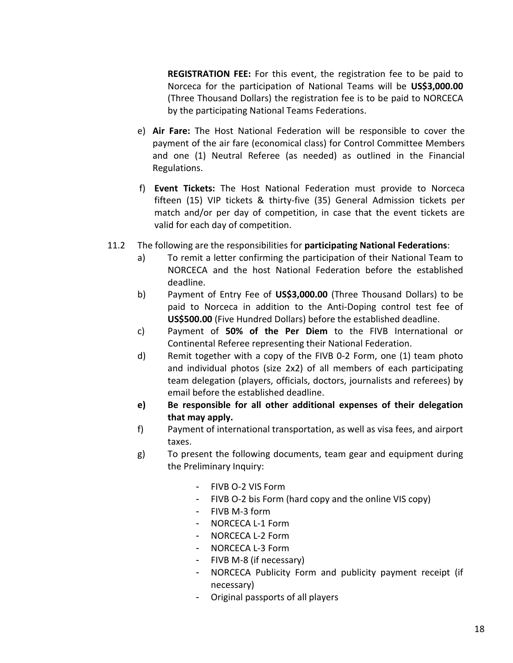**REGISTRATION FEE:** For this event, the registration fee to be paid to Norceca for the participation of National Teams will be **US\$3,000.00** (Three Thousand Dollars) the registration fee is to be paid to NORCECA by the participating National Teams Federations.

- e) **Air Fare:** The Host National Federation will be responsible to cover the payment of the air fare (economical class) for Control Committee Members and one (1) Neutral Referee (as needed) as outlined in the Financial Regulations.
- f) **Event Tickets:** The Host National Federation must provide to Norceca fifteen (15) VIP tickets & thirty-five (35) General Admission tickets per match and/or per day of competition, in case that the event tickets are valid for each day of competition.
- 11.2 The following are the responsibilities for **participating National Federations**:
	- a) To remit a letter confirming the participation of their National Team to NORCECA and the host National Federation before the established deadline.
	- b) Payment of Entry Fee of **US\$3,000.00** (Three Thousand Dollars) to be paid to Norceca in addition to the Anti-Doping control test fee of **US\$500.00** (Five Hundred Dollars) before the established deadline.
	- c) Payment of **50% of the Per Diem** to the FIVB International or Continental Referee representing their National Federation.
	- d) Remit together with a copy of the FIVB 0-2 Form, one (1) team photo and individual photos (size 2x2) of all members of each participating team delegation (players, officials, doctors, journalists and referees) by email before the established deadline.
	- **e) Be responsible for all other additional expenses of their delegation that may apply.**
	- f) Payment of international transportation, as well as visa fees, and airport taxes.
	- g) To present the following documents, team gear and equipment during the Preliminary Inquiry:
		- FIVB O-2 VIS Form
		- FIVB O-2 bis Form (hard copy and the online VIS copy)
		- FIVB M-3 form
		- NORCECA L-1 Form
		- NORCECA L-2 Form
		- NORCECA L-3 Form
		- FIVB M-8 (if necessary)
		- NORCECA Publicity Form and publicity payment receipt (if necessary)
		- Original passports of all players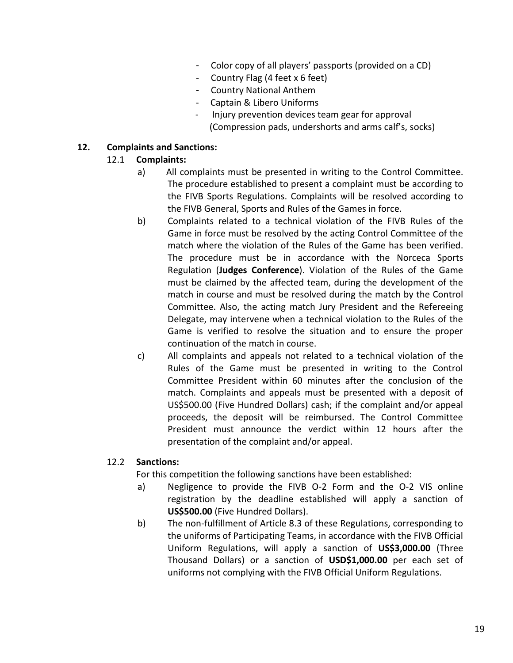- Color copy of all players' passports (provided on a CD)
- Country Flag (4 feet x 6 feet)
- Country National Anthem
- Captain & Libero Uniforms
- Injury prevention devices team gear for approval (Compression pads, undershorts and arms calf's, socks)

### **12. Complaints and Sanctions:**

### 12.1 **Complaints:**

- a) All complaints must be presented in writing to the Control Committee. The procedure established to present a complaint must be according to the FIVB Sports Regulations. Complaints will be resolved according to the FIVB General, Sports and Rules of the Games in force.
- b) Complaints related to a technical violation of the FIVB Rules of the Game in force must be resolved by the acting Control Committee of the match where the violation of the Rules of the Game has been verified. The procedure must be in accordance with the Norceca Sports Regulation (**Judges Conference**). Violation of the Rules of the Game must be claimed by the affected team, during the development of the match in course and must be resolved during the match by the Control Committee. Also, the acting match Jury President and the Refereeing Delegate, may intervene when a technical violation to the Rules of the Game is verified to resolve the situation and to ensure the proper continuation of the match in course.
- c) All complaints and appeals not related to a technical violation of the Rules of the Game must be presented in writing to the Control Committee President within 60 minutes after the conclusion of the match. Complaints and appeals must be presented with a deposit of US\$500.00 (Five Hundred Dollars) cash; if the complaint and/or appeal proceeds, the deposit will be reimbursed. The Control Committee President must announce the verdict within 12 hours after the presentation of the complaint and/or appeal.

#### 12.2 **Sanctions:**

For this competition the following sanctions have been established:

- a) Negligence to provide the FIVB O-2 Form and the O-2 VIS online registration by the deadline established will apply a sanction of **US\$500.00** (Five Hundred Dollars).
- b) The non-fulfillment of Article 8.3 of these Regulations, corresponding to the uniforms of Participating Teams, in accordance with the FIVB Official Uniform Regulations, will apply a sanction of **US\$3,000.00** (Three Thousand Dollars) or a sanction of **USD\$1,000.00** per each set of uniforms not complying with the FIVB Official Uniform Regulations.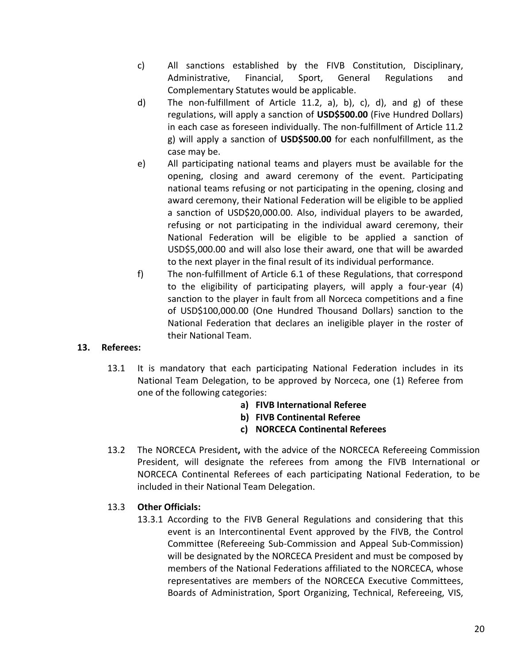- c) All sanctions established by the FIVB Constitution, Disciplinary, Administrative, Financial, Sport, General Regulations and Complementary Statutes would be applicable.
- d) The non-fulfillment of Article 11.2, a), b), c), d), and g) of these regulations, will apply a sanction of **USD\$500.00** (Five Hundred Dollars) in each case as foreseen individually. The non-fulfillment of Article 11.2 g) will apply a sanction of **USD\$500.00** for each nonfulfillment, as the case may be.
- e) All participating national teams and players must be available for the opening, closing and award ceremony of the event. Participating national teams refusing or not participating in the opening, closing and award ceremony, their National Federation will be eligible to be applied a sanction of USD\$20,000.00. Also, individual players to be awarded, refusing or not participating in the individual award ceremony, their National Federation will be eligible to be applied a sanction of USD\$5,000.00 and will also lose their award, one that will be awarded to the next player in the final result of its individual performance.
- f) The non-fulfillment of Article 6.1 of these Regulations, that correspond to the eligibility of participating players, will apply a four-year (4) sanction to the player in fault from all Norceca competitions and a fine of USD\$100,000.00 (One Hundred Thousand Dollars) sanction to the National Federation that declares an ineligible player in the roster of their National Team.

# **13. Referees:**

- 13.1 It is mandatory that each participating National Federation includes in its National Team Delegation, to be approved by Norceca, one (1) Referee from one of the following categories:
	- **a) FIVB International Referee**
	- **b) FIVB Continental Referee**
	- **c) NORCECA Continental Referees**
- 13.2 The NORCECA President**,** with the advice of the NORCECA Refereeing Commission President, will designate the referees from among the FIVB International or NORCECA Continental Referees of each participating National Federation, to be included in their National Team Delegation.

# 13.3 **Other Officials:**

13.3.1 According to the FIVB General Regulations and considering that this event is an Intercontinental Event approved by the FIVB, the Control Committee (Refereeing Sub-Commission and Appeal Sub-Commission) will be designated by the NORCECA President and must be composed by members of the National Federations affiliated to the NORCECA, whose representatives are members of the NORCECA Executive Committees, Boards of Administration, Sport Organizing, Technical, Refereeing, VIS,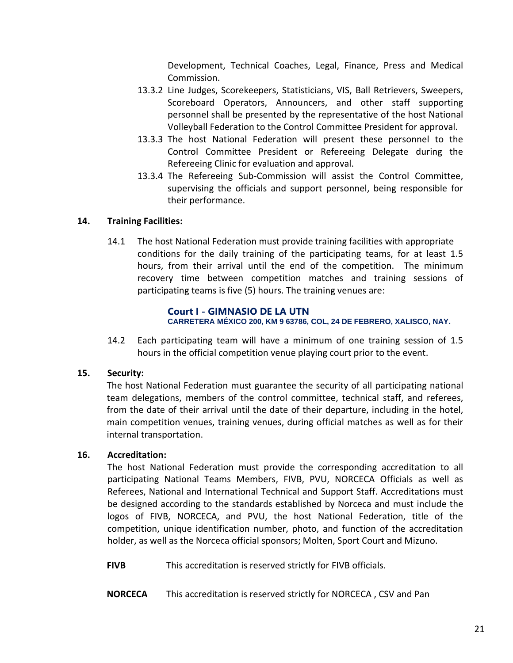Development, Technical Coaches, Legal, Finance, Press and Medical Commission.

- 13.3.2 Line Judges, Scorekeepers, Statisticians, VIS, Ball Retrievers, Sweepers, Scoreboard Operators, Announcers, and other staff supporting personnel shall be presented by the representative of the host National Volleyball Federation to the Control Committee President for approval.
- 13.3.3 The host National Federation will present these personnel to the Control Committee President or Refereeing Delegate during the Refereeing Clinic for evaluation and approval.
- 13.3.4 The Refereeing Sub-Commission will assist the Control Committee, supervising the officials and support personnel, being responsible for their performance.

# **14. Training Facilities:**

14.1 The host National Federation must provide training facilities with appropriate conditions for the daily training of the participating teams, for at least 1.5 hours, from their arrival until the end of the competition. The minimum recovery time between competition matches and training sessions of participating teams is five (5) hours. The training venues are:

#### **Court I - GIMNASIO DE LA UTN CARRETERA MÉXICO 200, KM 9 63786, COL, 24 DE FEBRERO, XALISCO, NAY.**

14.2 Each participating team will have a minimum of one training session of 1.5 hours in the official competition venue playing court prior to the event.

# **15. Security:**

The host National Federation must guarantee the security of all participating national team delegations, members of the control committee, technical staff, and referees, from the date of their arrival until the date of their departure, including in the hotel, main competition venues, training venues, during official matches as well as for their internal transportation.

# **16. Accreditation:**

The host National Federation must provide the corresponding accreditation to all participating National Teams Members, FIVB, PVU, NORCECA Officials as well as Referees, National and International Technical and Support Staff. Accreditations must be designed according to the standards established by Norceca and must include the logos of FIVB, NORCECA, and PVU, the host National Federation, title of the competition, unique identification number, photo, and function of the accreditation holder, as well as the Norceca official sponsors; Molten, Sport Court and Mizuno.

**FIVB** This accreditation is reserved strictly for FIVB officials.

**NORCECA** This accreditation is reserved strictly for NORCECA , CSV and Pan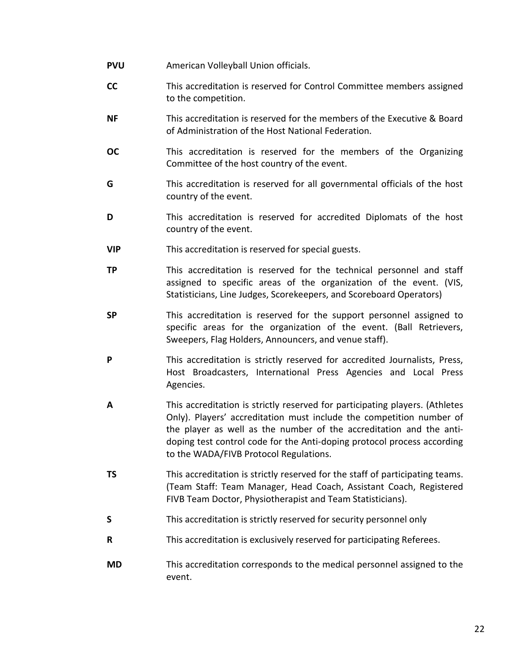- **PVU** American Volleyball Union officials.
- **CC** This accreditation is reserved for Control Committee members assigned to the competition.
- **NF** This accreditation is reserved for the members of the Executive & Board of Administration of the Host National Federation.
- **OC** This accreditation is reserved for the members of the Organizing Committee of the host country of the event.
- **G** This accreditation is reserved for all governmental officials of the host country of the event.
- **D** This accreditation is reserved for accredited Diplomats of the host country of the event.
- **VIP** This accreditation is reserved for special guests.
- **TP** This accreditation is reserved for the technical personnel and staff assigned to specific areas of the organization of the event. (VIS, Statisticians, Line Judges, Scorekeepers, and Scoreboard Operators)
- **SP** This accreditation is reserved for the support personnel assigned to specific areas for the organization of the event. (Ball Retrievers, Sweepers, Flag Holders, Announcers, and venue staff).
- **P** This accreditation is strictly reserved for accredited Journalists, Press, Host Broadcasters, International Press Agencies and Local Press Agencies.
- **A** This accreditation is strictly reserved for participating players. (Athletes Only). Players' accreditation must include the competition number of the player as well as the number of the accreditation and the antidoping test control code for the Anti-doping protocol process according to the WADA/FIVB Protocol Regulations.
- **TS** This accreditation is strictly reserved for the staff of participating teams. (Team Staff: Team Manager, Head Coach, Assistant Coach, Registered FIVB Team Doctor, Physiotherapist and Team Statisticians).
- **S** This accreditation is strictly reserved for security personnel only
- **R** This accreditation is exclusively reserved for participating Referees.
- **MD** This accreditation corresponds to the medical personnel assigned to the event.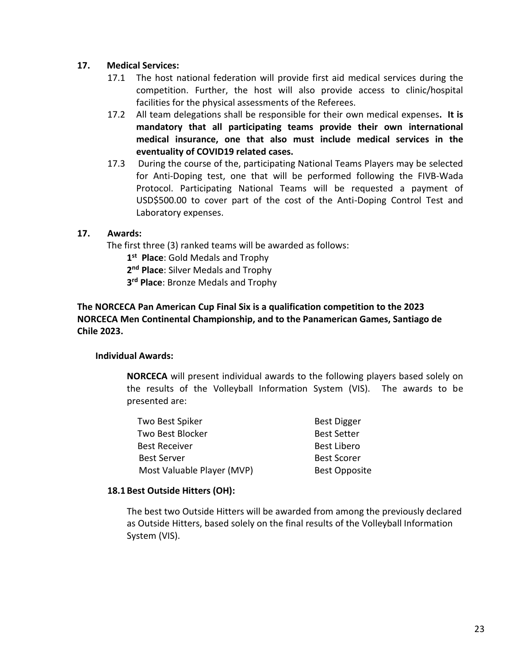### **17. Medical Services:**

- 17.1 The host national federation will provide first aid medical services during the competition. Further, the host will also provide access to clinic/hospital facilities for the physical assessments of the Referees.
- 17.2 All team delegations shall be responsible for their own medical expenses**. It is mandatory that all participating teams provide their own international medical insurance, one that also must include medical services in the eventuality of COVID19 related cases.**
- 17.3 During the course of the, participating National Teams Players may be selected for Anti-Doping test, one that will be performed following the FIVB-Wada Protocol. Participating National Teams will be requested a payment of USD\$500.00 to cover part of the cost of the Anti-Doping Control Test and Laboratory expenses.

### **17. Awards:**

The first three (3) ranked teams will be awarded as follows:

**1 st Place**: Gold Medals and Trophy

**2 nd Place**: Silver Medals and Trophy

**3 rd Place**: Bronze Medals and Trophy

# **The NORCECA Pan American Cup Final Six is a qualification competition to the 2023 NORCECA Men Continental Championship, and to the Panamerican Games, Santiago de Chile 2023.**

#### **Individual Awards:**

**NORCECA** will present individual awards to the following players based solely on the results of the Volleyball Information System (VIS). The awards to be presented are:

| Two Best Spiker            | <b>Best Digger</b>   |
|----------------------------|----------------------|
| Two Best Blocker           | <b>Best Setter</b>   |
| <b>Best Receiver</b>       | <b>Best Libero</b>   |
| <b>Best Server</b>         | <b>Best Scorer</b>   |
| Most Valuable Player (MVP) | <b>Best Opposite</b> |

#### **18.1 Best Outside Hitters (OH):**

The best two Outside Hitters will be awarded from among the previously declared as Outside Hitters, based solely on the final results of the Volleyball Information System (VIS).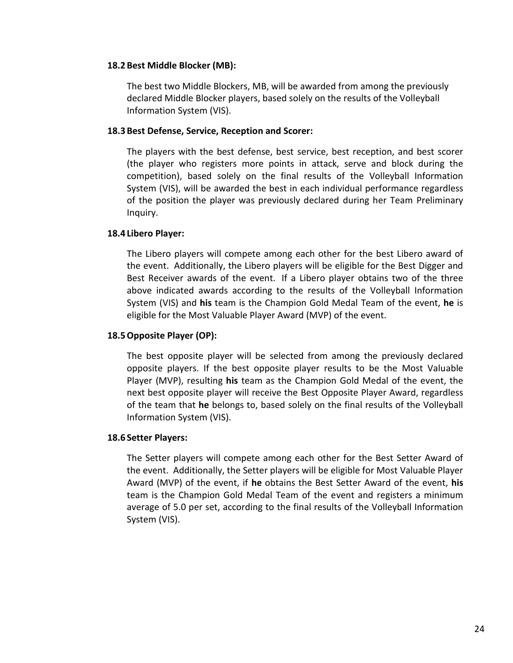#### **18.2 Best Middle Blocker (MB):**

The best two Middle Blockers, MB, will be awarded from among the previously declared Middle Blocker players, based solely on the results of the Volleyball Information System (VIS).

#### **18.3 Best Defense, Service, Reception and Scorer:**

The players with the best defense, best service, best reception, and best scorer (the player who registers more points in attack, serve and block during the competition), based solely on the final results of the Volleyball Information System (VIS), will be awarded the best in each individual performance regardless of the position the player was previously declared during her Team Preliminary Inquiry.

#### **18.4 Libero Player:**

The Libero players will compete among each other for the best Libero award of the event. Additionally, the Libero players will be eligible for the Best Digger and Best Receiver awards of the event. If a Libero player obtains two of the three above indicated awards according to the results of the Volleyball Information System (VIS) and **his** team is the Champion Gold Medal Team of the event, **he** is eligible for the Most Valuable Player Award (MVP) of the event.

#### **18.5Opposite Player (OP):**

The best opposite player will be selected from among the previously declared opposite players. If the best opposite player results to be the Most Valuable Player (MVP), resulting **his** team as the Champion Gold Medal of the event, the next best opposite player will receive the Best Opposite Player Award, regardless of the team that **he** belongs to, based solely on the final results of the Volleyball Information System (VIS).

#### **18.6 Setter Players:**

The Setter players will compete among each other for the Best Setter Award of the event. Additionally, the Setter players will be eligible for Most Valuable Player Award (MVP) of the event, if **he** obtains the Best Setter Award of the event, **his** team is the Champion Gold Medal Team of the event and registers a minimum average of 5.0 per set, according to the final results of the Volleyball Information System (VIS).